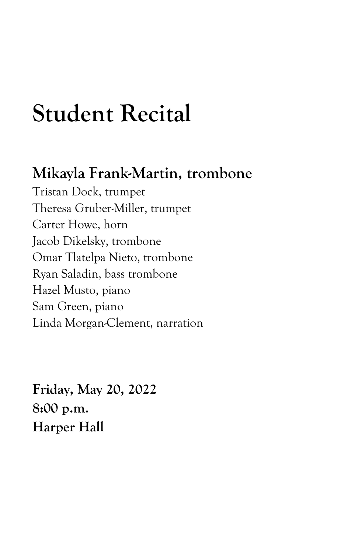# **Student Recital**

## **Mikayla Frank-Martin, trombone**

Tristan Dock, trumpet Theresa Gruber-Miller, trumpet Carter Howe, horn Jacob Dikelsky, trombone Omar Tlatelpa Nieto, trombone Ryan Saladin, bass trombone Hazel Musto, piano Sam Green, piano Linda Morgan-Clement, narration

**Friday, May 20, 2022 8:00 p.m. Harper Hall**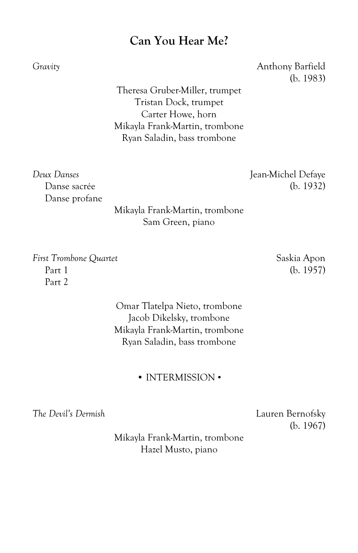### **Can You Hear Me?**

*Gravity* Anthony Barfield (b. 1983)

> Theresa Gruber-Miller, trumpet Tristan Dock, trumpet Carter Howe, horn Mikayla Frank-Martin, trombone Ryan Saladin, bass trombone

*Deux Danses* Jean-Michel Defaye Danse sacrée (b. 1932) Danse profane

Mikayla Frank-Martin, trombone Sam Green, piano

*First Trombone Quartet* Saskia Apon Part 1 (b. 1957) Part 2

> Omar Tlatelpa Nieto, trombone Jacob Dikelsky, trombone Mikayla Frank-Martin, trombone Ryan Saladin, bass trombone

> > • INTERMISSION •

*The Devil's Dermish* Lauren Bernofsky

(b. 1967)

Mikayla Frank-Martin, trombone Hazel Musto, piano